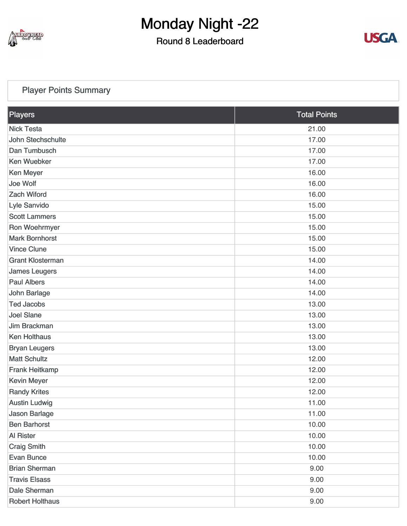

### Round 8 Leaderboard



### [Player Points Summary](https://static.golfgenius.com/v2tournaments/total_points?league_id=8103114973338674340&round_id=8103116689077445825)

| Players                 | <b>Total Points</b> |  |
|-------------------------|---------------------|--|
| <b>Nick Testa</b>       | 21.00               |  |
| John Stechschulte       | 17.00               |  |
| Dan Tumbusch            | 17.00               |  |
| <b>Ken Wuebker</b>      | 17.00               |  |
| <b>Ken Meyer</b>        | 16.00               |  |
| Joe Wolf                | 16.00               |  |
| <b>Zach Wiford</b>      | 16.00               |  |
| Lyle Sanvido            | 15.00               |  |
| <b>Scott Lammers</b>    | 15.00               |  |
| Ron Woehrmyer           | 15.00               |  |
| <b>Mark Bornhorst</b>   | 15.00               |  |
| <b>Vince Clune</b>      | 15.00               |  |
| <b>Grant Klosterman</b> | 14.00               |  |
| <b>James Leugers</b>    | 14.00               |  |
| <b>Paul Albers</b>      | 14.00               |  |
| John Barlage            | 14.00               |  |
| <b>Ted Jacobs</b>       | 13.00               |  |
| <b>Joel Slane</b>       | 13.00               |  |
| Jim Brackman            | 13.00               |  |
| <b>Ken Holthaus</b>     | 13.00               |  |
| <b>Bryan Leugers</b>    | 13.00               |  |
| <b>Matt Schultz</b>     | 12.00               |  |
| <b>Frank Heitkamp</b>   | 12.00               |  |
| <b>Kevin Meyer</b>      | 12.00               |  |
| <b>Randy Krites</b>     | 12.00               |  |
| <b>Austin Ludwig</b>    | 11.00               |  |
| Jason Barlage           | 11.00               |  |
| <b>Ben Barhorst</b>     | 10.00               |  |
| <b>Al Rister</b>        | 10.00               |  |
| <b>Craig Smith</b>      | 10.00               |  |
| <b>Evan Bunce</b>       | 10.00               |  |
| <b>Brian Sherman</b>    | 9.00                |  |
| <b>Travis Elsass</b>    | 9.00                |  |
| Dale Sherman            | 9.00                |  |
| <b>Robert Holthaus</b>  | 9.00                |  |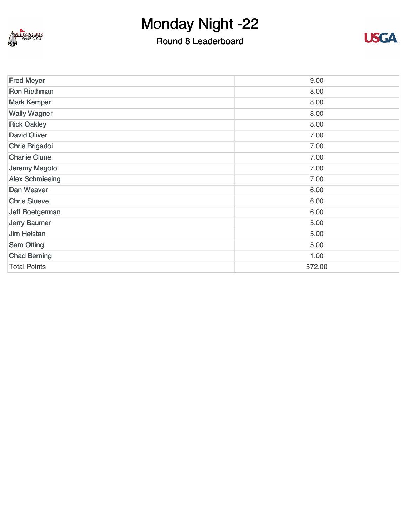

## Round 8 Leaderboard



| <b>Fred Meyer</b>      | 9.00   |
|------------------------|--------|
| <b>Ron Riethman</b>    | 8.00   |
| <b>Mark Kemper</b>     | 8.00   |
| <b>Wally Wagner</b>    | 8.00   |
| <b>Rick Oakley</b>     | 8.00   |
| <b>David Oliver</b>    | 7.00   |
| Chris Brigadoi         | 7.00   |
| <b>Charlie Clune</b>   | 7.00   |
| Jeremy Magoto          | 7.00   |
| <b>Alex Schmiesing</b> | 7.00   |
| Dan Weaver             | 6.00   |
| <b>Chris Stueve</b>    | 6.00   |
| Jeff Roetgerman        | 6.00   |
| Jerry Baumer           | 5.00   |
| <b>Jim Heistan</b>     | 5.00   |
| <b>Sam Otting</b>      | 5.00   |
| <b>Chad Berning</b>    | 1.00   |
| <b>Total Points</b>    | 572.00 |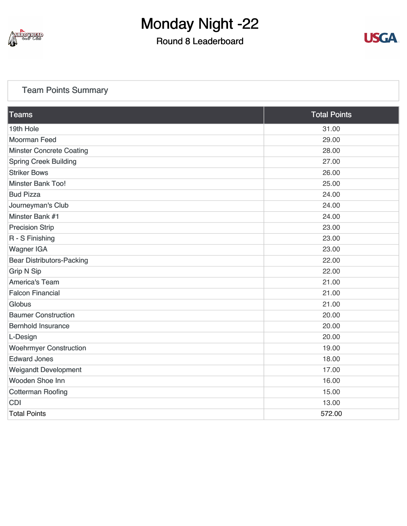

### Round 8 Leaderboard



### [Team Points Summary](https://static.golfgenius.com/v2tournaments/team_points?league_id=8103114973338674340&round_id=8103116689077445825)

| Teams                            | <b>Total Points</b> |
|----------------------------------|---------------------|
| 19th Hole                        | 31.00               |
| <b>Moorman Feed</b>              | 29.00               |
| <b>Minster Concrete Coating</b>  | 28.00               |
| <b>Spring Creek Building</b>     | 27.00               |
| <b>Striker Bows</b>              | 26.00               |
| <b>Minster Bank Too!</b>         | 25.00               |
| <b>Bud Pizza</b>                 | 24.00               |
| Journeyman's Club                | 24.00               |
| Minster Bank #1                  | 24.00               |
| <b>Precision Strip</b>           | 23.00               |
| R - S Finishing                  | 23.00               |
| <b>Wagner IGA</b>                | 23.00               |
| <b>Bear Distributors-Packing</b> | 22.00               |
| <b>Grip N Sip</b>                | 22.00               |
| <b>America's Team</b>            | 21.00               |
| <b>Falcon Financial</b>          | 21.00               |
| Globus                           | 21.00               |
| <b>Baumer Construction</b>       | 20.00               |
| <b>Bernhold Insurance</b>        | 20.00               |
| L-Design                         | 20.00               |
| <b>Woehrmyer Construction</b>    | 19.00               |
| <b>Edward Jones</b>              | 18.00               |
| <b>Weigandt Development</b>      | 17.00               |
| <b>Wooden Shoe Inn</b>           | 16.00               |
| <b>Cotterman Roofing</b>         | 15.00               |
| <b>CDI</b>                       | 13.00               |
| <b>Total Points</b>              | 572.00              |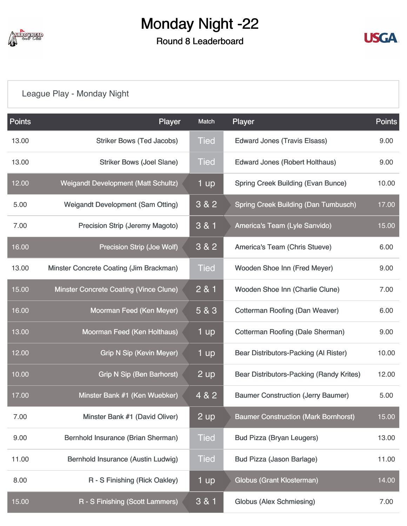

#### Round 8 Leaderboard



## [League Play - Monday Night](https://static.golfgenius.com/v2tournaments/8103117082771596298?called_from=&round_index=8)

| <b>Points</b> | Player                                     | Match       | Player                                          | <b>Points</b> |
|---------------|--------------------------------------------|-------------|-------------------------------------------------|---------------|
| 13.00         | <b>Striker Bows (Ted Jacobs)</b>           | <b>Tied</b> | <b>Edward Jones (Travis Elsass)</b>             | 9.00          |
| 13.00         | <b>Striker Bows (Joel Slane)</b>           | <b>Tied</b> | <b>Edward Jones (Robert Holthaus)</b>           | 9.00          |
| 12.00         | <b>Weigandt Development (Matt Schultz)</b> | 1 up        | <b>Spring Creek Building (Evan Bunce)</b>       | 10.00         |
| 5.00          | <b>Weigandt Development (Sam Otting)</b>   | 3 & 2       | <b>Spring Creek Building (Dan Tumbusch)</b>     | 17.00         |
| 7.00          | <b>Precision Strip (Jeremy Magoto)</b>     | 3 & 1       | <b>America's Team (Lyle Sanvido)</b>            | 15.00         |
| 16.00         | Precision Strip (Joe Wolf)                 | 3 & 2       | America's Team (Chris Stueve)                   | 6.00          |
| 13.00         | Minster Concrete Coating (Jim Brackman)    | <b>Tied</b> | Wooden Shoe Inn (Fred Meyer)                    | 9.00          |
| 15.00         | Minster Concrete Coating (Vince Clune)     | 2 & 1       | Wooden Shoe Inn (Charlie Clune)                 | 7.00          |
| 16.00         | Moorman Feed (Ken Meyer)                   | 5 & 3       | <b>Cotterman Roofing (Dan Weaver)</b>           | 6.00          |
| 13.00         | Moorman Feed (Ken Holthaus)                | 1 up        | <b>Cotterman Roofing (Dale Sherman)</b>         | 9.00          |
| 12.00         | <b>Grip N Sip (Kevin Meyer)</b>            | 1 up        | Bear Distributors-Packing (Al Rister)           | 10.00         |
| 10.00         | <b>Grip N Sip (Ben Barhorst)</b>           | 2 up        | <b>Bear Distributors-Packing (Randy Krites)</b> | 12.00         |
| 17.00         | Minster Bank #1 (Ken Wuebker)              | 4 & 2       | <b>Baumer Construction (Jerry Baumer)</b>       | 5.00          |
| 7.00          | Minster Bank #1 (David Oliver)             | 2 up        | <b>Baumer Construction (Mark Bornhorst)</b>     | 15.00         |
| 9.00          | Bernhold Insurance (Brian Sherman)         | <b>Tied</b> | <b>Bud Pizza (Bryan Leugers)</b>                | 13.00         |
| 11.00         | Bernhold Insurance (Austin Ludwig)         | <b>Tied</b> | <b>Bud Pizza (Jason Barlage)</b>                | 11.00         |
| 8.00          | R - S Finishing (Rick Oakley)              | 1 up        | <b>Globus (Grant Klosterman)</b>                | 14.00         |
| 15.00         | R - S Finishing (Scott Lammers)            | $3 & 1$     | <b>Globus (Alex Schmiesing)</b>                 | 7.00          |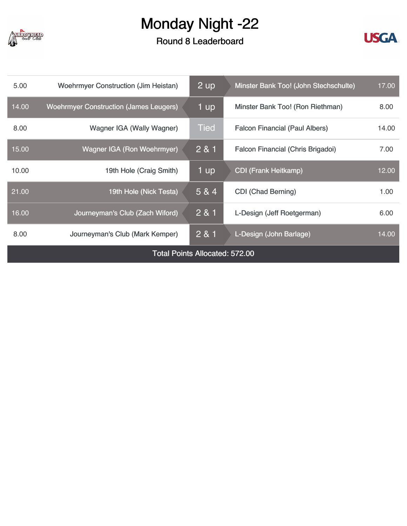

Round 8 Leaderboard



| 5.00                                  | <b>Woehrmyer Construction (Jim Heistan)</b>   | 2 up        | 17.00<br>Minster Bank Too! (John Stechschulte) |       |
|---------------------------------------|-----------------------------------------------|-------------|------------------------------------------------|-------|
| 14.00                                 | <b>Woehrmyer Construction (James Leugers)</b> | 1 up        | Minster Bank Too! (Ron Riethman)               | 8.00  |
| 8.00                                  | Wagner IGA (Wally Wagner)                     | <b>Tied</b> | <b>Falcon Financial (Paul Albers)</b>          | 14.00 |
| 15.00                                 | <b>Wagner IGA (Ron Woehrmyer)</b>             | 2 & 1       | Falcon Financial (Chris Brigadoi)              | 7.00  |
| 10.00                                 | 19th Hole (Craig Smith)                       | 1 up        | <b>CDI (Frank Heitkamp)</b>                    | 12.00 |
| 21.00                                 | 19th Hole (Nick Testa)                        | 5 & 4       | <b>CDI</b> (Chad Berning)                      | 1.00  |
| 16.00                                 | Journeyman's Club (Zach Wiford)               | 281         | L-Design (Jeff Roetgerman)                     | 6.00  |
| 8.00                                  | Journeyman's Club (Mark Kemper)               | 281         | L-Design (John Barlage)                        | 14.00 |
| <b>Total Points Allocated: 572.00</b> |                                               |             |                                                |       |